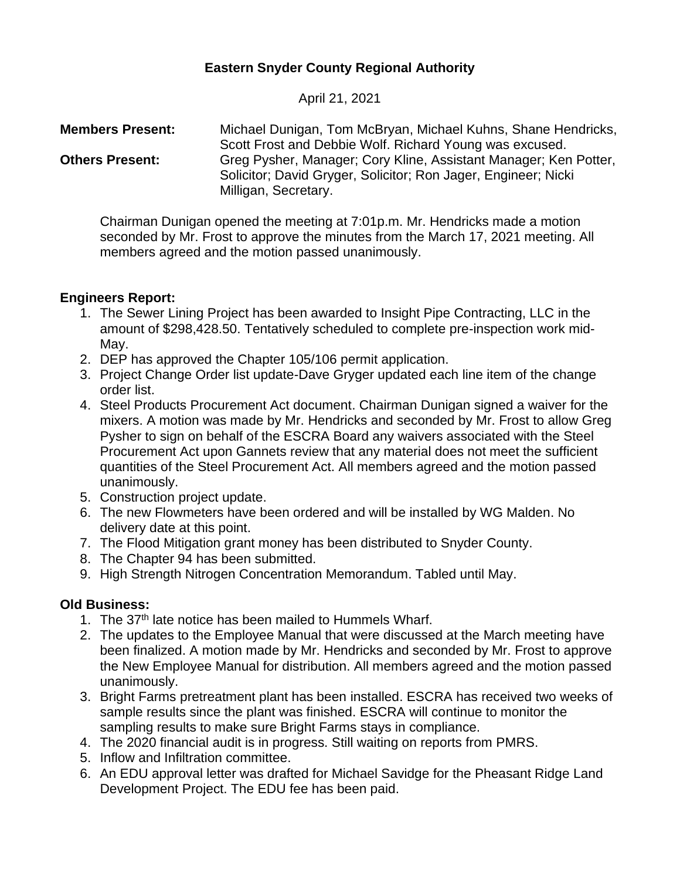# **Eastern Snyder County Regional Authority**

April 21, 2021

**Members Present:** Michael Dunigan, Tom McBryan, Michael Kuhns, Shane Hendricks, Scott Frost and Debbie Wolf. Richard Young was excused. **Others Present:** Greg Pysher, Manager; Cory Kline, Assistant Manager; Ken Potter, Solicitor; David Gryger, Solicitor; Ron Jager, Engineer; Nicki Milligan, Secretary.

Chairman Dunigan opened the meeting at 7:01p.m. Mr. Hendricks made a motion seconded by Mr. Frost to approve the minutes from the March 17, 2021 meeting. All members agreed and the motion passed unanimously.

# **Engineers Report:**

- 1. The Sewer Lining Project has been awarded to Insight Pipe Contracting, LLC in the amount of \$298,428.50. Tentatively scheduled to complete pre-inspection work mid-May.
- 2. DEP has approved the Chapter 105/106 permit application.
- 3. Project Change Order list update-Dave Gryger updated each line item of the change order list.
- 4. Steel Products Procurement Act document. Chairman Dunigan signed a waiver for the mixers. A motion was made by Mr. Hendricks and seconded by Mr. Frost to allow Greg Pysher to sign on behalf of the ESCRA Board any waivers associated with the Steel Procurement Act upon Gannets review that any material does not meet the sufficient quantities of the Steel Procurement Act. All members agreed and the motion passed unanimously.
- 5. Construction project update.
- 6. The new Flowmeters have been ordered and will be installed by WG Malden. No delivery date at this point.
- 7. The Flood Mitigation grant money has been distributed to Snyder County.
- 8. The Chapter 94 has been submitted.
- 9. High Strength Nitrogen Concentration Memorandum. Tabled until May.

## **Old Business:**

- 1. The 37<sup>th</sup> late notice has been mailed to Hummels Wharf.
- 2. The updates to the Employee Manual that were discussed at the March meeting have been finalized. A motion made by Mr. Hendricks and seconded by Mr. Frost to approve the New Employee Manual for distribution. All members agreed and the motion passed unanimously.
- 3. Bright Farms pretreatment plant has been installed. ESCRA has received two weeks of sample results since the plant was finished. ESCRA will continue to monitor the sampling results to make sure Bright Farms stays in compliance.
- 4. The 2020 financial audit is in progress. Still waiting on reports from PMRS.
- 5. Inflow and Infiltration committee.
- 6. An EDU approval letter was drafted for Michael Savidge for the Pheasant Ridge Land Development Project. The EDU fee has been paid.